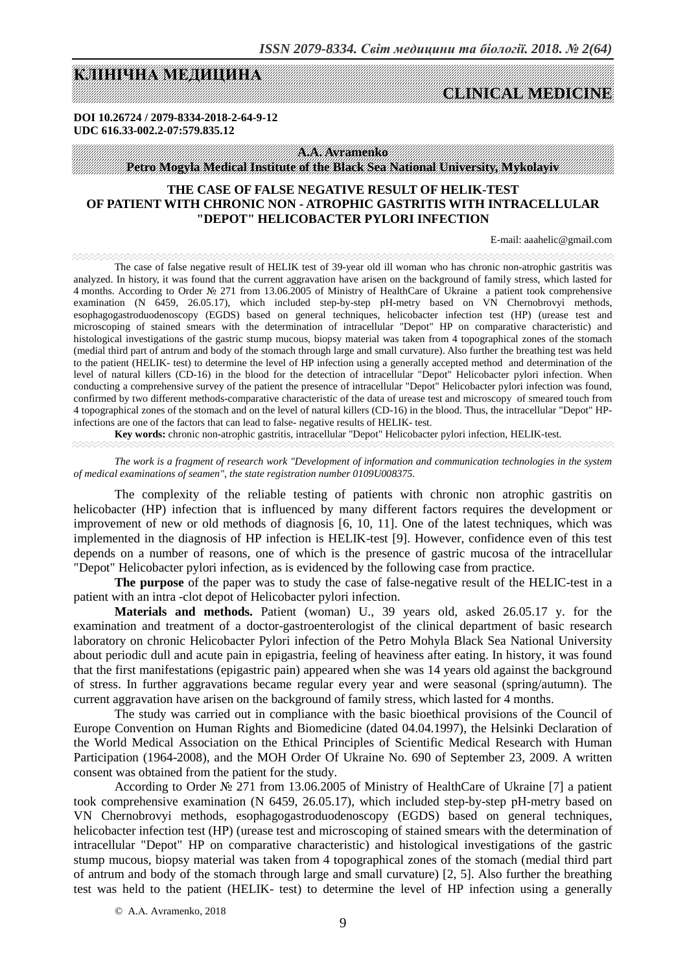# **KAN KANADI MEGALAH KANADI KELARA KELARA KELARA KELARA KELARA KELARA KELARA KELARA KELARA KELARA KELARA KELARA**

# **CLINICAL MEDICINE**

**DOI 10.26724 / 2079-8334-2018-2-64-9-12 UDC 616.33-002.2-07:579.835.12** 

**A.A. Avramenko**

**Petro Mogyla Medical Institute of the Black Sea National University, Mykolayiv** 

## **THE CASE OF FALSE NEGATIVE RESULT OF HELIK-TEST OF PATIENT WITH CHRONIC NON - ATROPHIC GASTRITIS WITH INTRACELLULAR "DEPOT" HELICOBACTER PYLORI INFECTION**

E-mail: aaahelic@gmail.com

The case of false negative result of HELIK test of 39-year old ill woman who has chronic non-atrophic gastritis was analyzed. In history, it was found that the current aggravation have arisen on the background of family stress, which lasted for 4 months. According to Order № 271 from 13.06.2005 of Ministry of HealthCare of Ukraine a patient took comprehensive examination (N 6459, 26.05.17), which included step-by-step pH-metry based on VN Chernobrovyi methods, esophagogastroduodenoscopy (EGDS) based on general techniques, helicobacter infection test (НР) (urease test and microscoping of stained smears with the determination of intracellular "Depot" HP on comparative characteristic) and histological investigations of the gastric stump mucous, biopsy material was taken from 4 topographical zones of the stomach (medial third part of antrum and body of the stomach through large and small curvature). Also further the breathing test was held to the patient (HELIK- test) to determine the level of HP infection using a generally accepted method and determination of the level of natural killers (CD-16) in the blood for the detection of intracellular "Depot" Helicobacter pylori infection. When conducting a comprehensive survey of the patient the presence of intracellular "Depot" Helicobacter pylori infection was found, confirmed by two different methods-comparative characteristic of the data of urease test and microscopy of smeared touch from 4 topographical zones of the stomach and on the level of natural killers (CD-16) in the blood. Thus, the intracellular "Depot" HPinfections are one of the factors that can lead to false- negative results of HELIK- test.

**Key words:** chronic non-atrophic gastritis, intracellular "Depot" Helicobacter pylori infection, HELIK-test*.*

*The work is a fragment of research work "Development of information and communication technologies in the system of medical examinations of seamen", the state registration number 0109U008375.* 

The complexity of the reliable testing of patients with chronic non atrophic gastritis on helicobacter (HP) infection that is influenced by many different factors requires the development or improvement of new or old methods of diagnosis [6, 10, 11]. One of the latest techniques, which was implemented in the diagnosis of HP infection is HELIK-test [9]. However, confidence even of this test depends on a number of reasons, one of which is the presence of gastric mucosa of the intracellular "Depot" Helicobacter pylori infection, as is evidenced by the following case from practice.

**The purpose** of the paper was to study the case of false-negative result of the HELIC-test in a patient with an intra -clot depot of Helicobacter pylori infection.

**Materials and methods.** Patient (woman) U., 39 years old, asked 26.05.17 y. for the examination and treatment of a doctor-gastroenterologist of the clinical department of basic research laboratory on chronic Helicobacter Pylori infection of the Petro Mohyla Black Sea National University about periodic dull and acute pain in epigastria, feeling of heaviness after eating. In history, it was found that the first manifestations (epigastric pain) appeared when she was 14 years old against the background of stress. In further aggravations became regular every year and were seasonal (spring/autumn). The current aggravation have arisen on the background of family stress, which lasted for 4 months.

The study was carried out in compliance with the basic bioethical provisions of the Council of Europe Convention on Human Rights and Biomedicine (dated 04.04.1997), the Helsinki Declaration of the World Medical Association on the Ethical Principles of Scientific Medical Research with Human Participation (1964-2008), and the MOH Order Of Ukraine No. 690 of September 23, 2009. A written consent was obtained from the patient for the study.

According to Order № 271 from 13.06.2005 of Ministry of HealthCare of Ukraine [7] a patient took comprehensive examination (N 6459, 26.05.17), which included step-by-step рН-metry based on VN Chernobrovyi methods, esophagogastroduodenoscopy (EGDS) based on general techniques, helicobacter infection test (HP) (urease test and microscoping of stained smears with the determination of intracellular "Depot" HP on comparative characteristic) and histological investigations of the gastric stump mucous, biopsy material was taken from 4 topographical zones of the stomach (medial third part of antrum and body of the stomach through large and small curvature) [2, 5]. Also further the breathing test was held to the patient (HELIK- test) to determine the level of HP infection using a generally

© A.А. Avramenko, 2018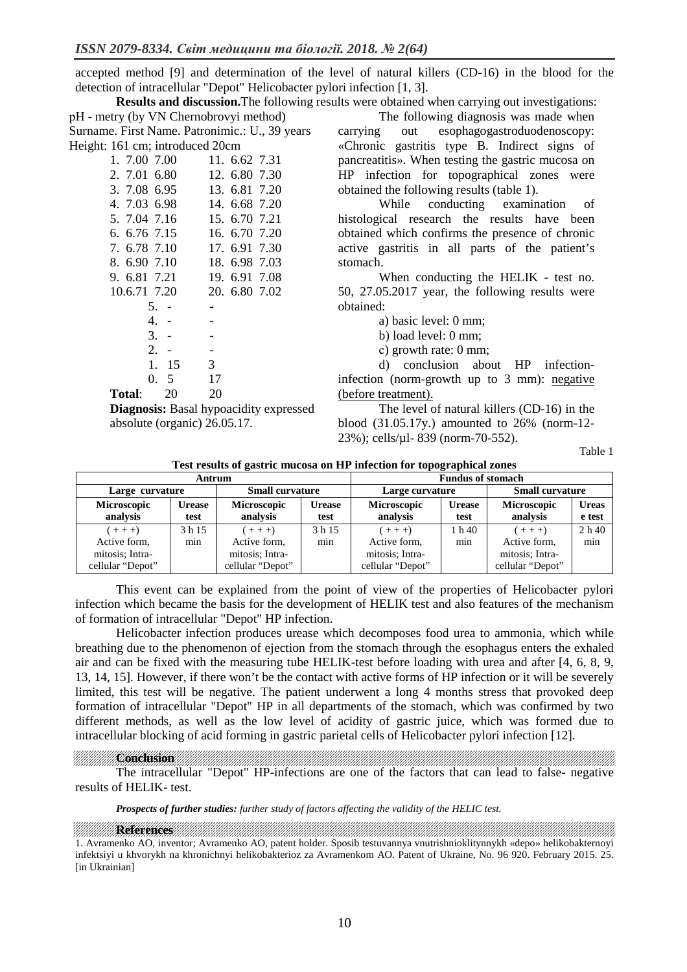accepted method [9] and determination of the level of natural killers (CD-16) in the blood for the detection of intracellular "Depot" Helicobacter pylori infection [1, 3].

**Results and discussion.**The following results were obtained when carrying out investigations: рН - metry (by VN Chernobrovyi method) Surname. First Name. Patronimic.: U., 39 years Height: 161 cm; introduced 20cm

| 11. 6.62 7.31 |
|---------------|
| 12. 6.80 7.30 |
| 13. 6.81 7.20 |
| 14, 6.68 7.20 |
| 15, 6.70 7.21 |
| 16. 6.70 7.20 |
| 17. 6.91 7.30 |
| 18. 6.98 7.03 |
| 19. 6.91 7.08 |
| 20, 6.80 7.02 |
|               |
|               |
|               |
|               |
| 3             |
| 17            |
| 20            |
|               |

**Diagnosis:** Basal hypoacidity expressed absolute (organic) 26.05.17.

The following diagnosis was made when carrying out esophagogastroduodenoscopy: «Chronic gastritis type B. Indirect signs of pancreatitis». When testing the gastric mucosa on HP infection for topographical zones were obtained the following results (table 1).

While conducting examination of histological research the results have been obtained which confirms the presence of chronic active gastritis in all parts of the patient's stomach.

When conducting the HELIK - test no. 50, 27.05.2017 year, the following results were obtained:

a) basic level: 0 mm;

b) load level: 0 mm;

с) growth rate: 0 mm;

d) conclusion about HP infectioninfection (norm-growth up to 3 mm): negative (before treatment).

The level of natural killers (CD-16) in the blood (31.05.17y.) amounted to 26% (norm-12- 23%); cells/µl- 839 (norm-70-552).

Table 1

| Antrum                                                           |                |                                                                  |                       | <b>Fundus of stomach</b>                                         |                       |                                                                  |                        |
|------------------------------------------------------------------|----------------|------------------------------------------------------------------|-----------------------|------------------------------------------------------------------|-----------------------|------------------------------------------------------------------|------------------------|
| Large curvature                                                  |                | <b>Small curvature</b>                                           |                       | Large curvature                                                  |                       | <b>Small curvature</b>                                           |                        |
| Microscopic<br>analysis                                          | Urease<br>test | <b>Microscopic</b><br>analysis                                   | <b>Urease</b><br>test | <b>Microscopic</b><br>analysis                                   | <b>Urease</b><br>test | Microscopic<br>analysis                                          | <b>Ureas</b><br>e test |
| $(+ + +)$<br>Active form,<br>mitosis; Intra-<br>cellular "Depot" | 3 h 15<br>min  | $(+ + +)$<br>Active form,<br>mitosis; Intra-<br>cellular "Depot" | 3 h 15<br>min         | $(+ + +)$<br>Active form,<br>mitosis; Intra-<br>cellular "Depot" | 1 h 40<br>min         | $(+ + +)$<br>Active form,<br>mitosis; Intra-<br>cellular "Depot" | 2h40<br>min            |

This event can be explained from the point of view of the properties of Helicobacter pylori infection which became the basis for the development of HELIK test and also features of the mechanism of formation of intracellular "Depot" HP infection.

Helicobacter infection produces urease which decomposes food urea to ammonia, which while breathing due to the phenomenon of ejection from the stomach through the esophagus enters the exhaled air and can be fixed with the measuring tube HELIK-test before loading with urea and after [4, 6, 8, 9, 13, 14, 15]. However, if there won't be the contact with active forms of HP infection or it will be severely limited, this test will be negative. The patient underwent a long 4 months stress that provoked deep formation of intracellular "Depot" HP in all departments of the stomach, which was confirmed by two different methods, as well as the low level of acidity of gastric juice, which was formed due to intracellular blocking of acid forming in gastric parietal cells of Helicobacter pylori infection [12].

**Conclusion** 

The intracellular "Depot" HP-infections are one of the factors that can lead to false- negative results of HELIK- test.

*Prospects of further studies: further study of factors affecting the validity of the HELIC test.* 

**References and the construction of the construction of the construction of the construction of the construction** 1. Avramenko AO, inventor; Avramenko AO, patent holder. Sposib testuvannya vnutrishnioklitynnykh «depo» helikobakternoyi infektsiyi u khvorykh na khronichnyi helikobakterioz za Avramenkom AO. Patent of Ukraine, No. 96 920. February 2015. 25. [in Ukrainian]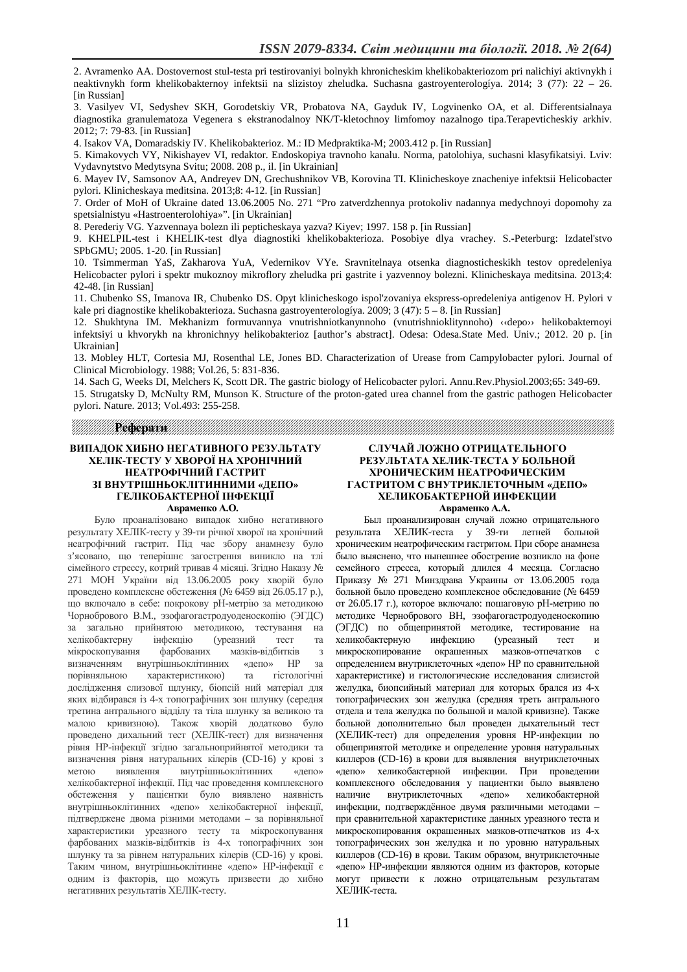2. Avramenko AA. Dostovernost stul-testa pri testirovaniyi bolnykh khronicheskim khelikobakteriozom pri nalichiyi aktivnykh i neaktivnykh form khelikobakternoy infektsii na slizistoy zheludka. Suchasna gastroyenterologíya. 2014; 3 (77): 22 – 26. [in Russian]

3. Vasilyev VI, Sedyshev SKH, Gorodetskiy VR, Probatova NA, Gayduk IV, Logvinenko OA, et al. Differentsialnaya diagnostika granulematoza Vegenera s ekstranodalnoy NK/T-kletochnoy limfomoy nazalnogo tipa.Terapevticheskiy arkhiv. 2012; 7: 79-83. [in Russian]

4. Isakov VA, Domaradskiy IV. Khelikobakterioz. M.: ID Medpraktika-M; 2003.412 p. [in Russian]

5. Kimakovych VY, Nikishayev VI, redaktor. Endoskopiya travnoho kanalu. Norma, patolohiya, suchasni klasyfikatsiyi. Lviv: Vydavnytstvo Medytsyna Svitu; 2008. 208 p., il. [in Ukrainian]

6. Mayev IV, Samsonov AA, Andreyev DN, Grechushnikov VB, Korovina TI. Klinicheskoye znacheniye infektsii Helicobacter pylori. Klinicheskaya meditsina. 2013;8: 4-12. [in Russian]

7. Order of MoH of Ukraine dated 13.06.2005 No. 271 "Pro zatverdzhennya protokoliv nadannya medychnoyi dopomohy za spetsialnistyu «Hastroenterolohiya»". [in Ukrainian]

8. Perederiy VG. Yazvennaya bolezn ili pepticheskaya yazva? Kiyev; 1997. 158 p. [in Russian]

9. KHELPIL-test i KHELIK-test dlya diagnostiki khelikobakterioza. Posobiye dlya vrachey. S.-Peterburg: Izdatel'stvo SPbGMU; 2005. 1-20. [in Russian]

10. Tsimmerman YaS, Zakharova YuA, Vedernikov VYe. Sravnitelnaya otsenka diagnosticheskikh testov opredeleniya Helicobacter pylori i spektr mukoznoy mikroflory zheludka pri gastrite i yazvennoy bolezni. Klinicheskaya meditsina. 2013;4: 42-48. [in Russian]

11. Chubenko SS, Imanova IR, Chubenko DS. Opyt klinicheskogo ispol'zovaniya ekspress-opredeleniya antigenov H. Pylori v kale pri diagnostike khelikobakterioza. Suchasna gastroyenterologíya. 2009; 3 (47): 5 – 8. [in Russian]

12. Shukhtyna IM. Mekhanizm formuvannya vnutrishniotkanynnoho (vnutrishnioklitynnoho) ‹‹depo›› helikobakternoyi infektsiyi u khvorykh na khronichnyy helikobakterioz [author's abstract]. Odesa: Odesa.State Med. Univ.; 2012. 20 p. [in Ukrainian]

13. Mobley HLT, Cortesia MJ, Rosenthal LE, Jones BD. Characterization of Urease from Campylobacter pylori. Journal of Clinical Microbiology. 1988; Vol.26, 5: 831-836.

14. Sach G, Weeks DI, Melchers K, Scott DR. The gastric biology of Helicobacter pylori. Annu.Rev.Physiol.2003;65: 349-69. 15. Strugatsky D, McNulty RM, Munson K. Structure of the proton-gated urea channel from the gastric pathogen Helicobacter pylori. Nature. 2013; Vol.493: 255-258.

РЕФЕРЕНИЕТА НА СОБРАНЕТА ПОЛНИТАТА ПОЛНИТАТА ПОЛНИТАТА ПОЛНИТАТА ПОЛНИТАТА ПОЛНИТАТА ПОЛНИТАТА ПОЛНИТАТА ПОЛНИ<br>РЕФЕРЕНИЕТА НА СОБРАНИЕТА ПОЛНИТАТА ПОЛНИТАТА ПОЛНИТАТА ПОЛНИТАТА ПОЛНИТАТА ПОЛНИТАТА ПОЛНИТАТА ПОЛНИТАТА ПОЛН

#### **ВИПАДОК ХИБНО НЕГАТИВНОГО РЕЗУЛЬТАТУ ХЕЛІК-ТЕСТУ У ХВОРОЇ НА ХРОНІЧНИЙ НЕАТРОФІЧНИЙ ГАСТРИТ ЗІ ВНУТРІШНЬОКЛІТИННИМИ «ДЕПО» ГЕЛІКОБАКТЕРНОЇ ІНФЕКЦІЇ Авраменко А.О.**

Було проаналізовано випадок хибно негативного результату ХЕЛІК-тесту у 39-ти річної хворої на хронічний неатрофічний гастрит. Під час збору анамнезу було з'ясовано, що теперішнє загострення виникло на тлі сімейного стрессу, котрий тривав 4 місяці. Згідно Наказу № 271 МОН України від 13.06.2005 року хворій було проведено комплексне обстеження (№ 6459 від 26.05.17 р.), що включало в себе: покрокову рН-метрію за методикою Чорнобрового В.М., эзофагогастродуоденоскопію (ЭГДС) за загально прийнятою методикою, тестування на хелікобактерну інфекцію (уреазний тест та мікроскопування фарбованих мазків-відбитків з визначенням внутрішньоклітинних «депо» НР за порівняльною характеристикою) та гістологічні дослідження слизової щлунку, біопсій ний матеріал для яких відбирався із 4-х топографічних зон шлунку (середня третина антрального відділу та тіла шлунку за великою та малою кривизною). Також хворій додатково було проведено дихальний тест (ХЕЛІК-тест) для визначення рівня НР-інфекції згідно загальноприйнятої методики та визначення рівня натуральних кілерів (СD-16) у крові з метою виявлення внутрішньоклітинних «депо» хелікобактерної інфекції. Під час проведення комплексного обстеження у пацієнтки було виявлено наявність внутрішньоклітинних «депо» хелікобактерної інфекції, підтверджене двома різними методами – за порівняльної характеристики уреазного тесту та мікроскопування фарбованих мазків-відбитків із 4-х топографічних зон шлунку та за рівнем натуральних кілерів (CD-16) у крові. Таким чином, внутрішньоклітинне «депо» НР-інфекції є одним із факторів, що можуть призвести до хибно негативних результатів ХЕЛІК-тесту.

#### **СЛУЧАЙ ЛОЖНО ОТРИЦАТЕЛЬНОГО РЕЗУЛЬТАТА ХЕЛИК-ТЕСТА У БОЛЬНОЙ ХРОНИЧЕСКИМ НЕАТРОФИЧЕСКИМ ГАСТРИТОМ С ВНУТРИКЛЕТОЧНЫМ «ДЕПО» ХЕЛИКОБАКТЕРНОЙ ИНФЕКЦИИ Авраменко А.А.**

Был проанализирован случай ложно отрицательного результата ХЕЛИК-теста у 39-ти летней больной хроническим неатрофическим гастритом. При сборе анамнеза было выяснено, что нынешнее обострение возникло на фоне семейного стресса, который длился 4 месяца. Согласно Приказу № 271 Минздрава Украины от 13.06.2005 года больной было проведено комплексное обследование (№ 6459 от 26.05.17 г.), которое включало: пошаговую рН-метрию по методике Чернобрового ВН, эзофагогастродуоденоскопию (ЭГДС) по общепринятой методике, тестирование на хеликобактерную инфекцию (уреазный тест и микроскопирование окрашенных мазков-отпечатков с определением внутриклеточных «депо» НР по сравнительной характеристике) и гистологические исследования слизистой желудка, биопсийный материал для которых брался из 4-х топографических зон желудка (средняя треть антрального отдела и тела желудка по большой и малой кривизне). Также больной дополнительно был проведен дыхательный тест (ХЕЛИК-тест) для определения уровня НР-инфекции по общепринятой методике и определение уровня натуральных киллеров (СD-16) в крови для выявления внутриклеточных «депо» хеликобактерной инфекции. При проведении комплексного обследования у пациентки было выявлено наличие внутриклеточных «депо» хеликобактерной инфекции, подтверждённое двумя различными методами – при сравнительной характеристике данных уреазного теста и микроскопирования окрашенных мазков-отпечатков из 4-х топографических зон желудка и по уровню натуральных киллеров (CD-16) в крови. Таким образом, внутриклеточные «депо» НР-инфекции являются одним из факторов, которые могут привести к ложно отрицательным результатам ХЕЛИК-теста.